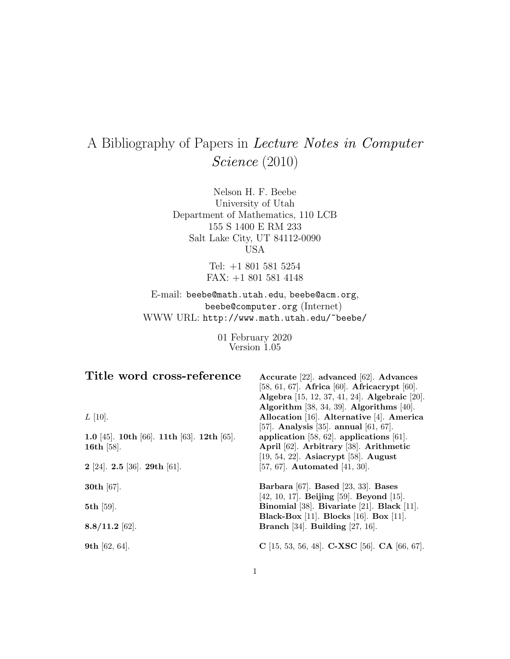# A Bibliography of Papers in Lecture Notes in Computer Science (2010)

Nelson H. F. Beebe University of Utah Department of Mathematics, 110 LCB 155 S 1400 E RM 233 Salt Lake City, UT 84112-0090 USA

> Tel: +1 801 581 5254 FAX: +1 801 581 4148

E-mail: beebe@math.utah.edu, beebe@acm.org, beebe@computer.org (Internet) WWW URL: http://www.math.utah.edu/~beebe/

> 01 February 2020 Version 1.05

| Title word cross-reference                   | Accurate [22]. advanced [62]. Advances                      |
|----------------------------------------------|-------------------------------------------------------------|
|                                              | [58, 61, 67]. Africa [60]. Africacrypt [60].                |
|                                              | Algebra [15, 12, 37, 41, 24]. Algebraic [20].               |
|                                              | Algorithm $[38, 34, 39]$ . Algorithms $[40]$ .              |
| $L$ [10].                                    | Allocation [16]. Alternative [4]. America                   |
|                                              | [57]. Analysis [35]. annual $[61, 67]$ .                    |
| 1.0 [45]. 10th [66]. 11th [63]. 12th [65].   | application [58, 62]. applications [61].                    |
| 16th $[58]$ .                                | April [62]. Arbitrary [38]. Arithmetic                      |
|                                              | $[19, 54, 22]$ . Asiacrypt [58]. August                     |
| $2$ [24]. <b>2.5</b> [36]. <b>29th</b> [61]. | [57, 67]. Automated [41, 30].                               |
| <b>30th</b> $[67]$ .                         | Barbara [67]. Based [23, 33]. Bases                         |
|                                              | $[42, 10, 17]$ . Beijing [59]. Beyond [15].                 |
| $5th$ [59].                                  | Binomial [38]. Bivariate [21]. Black [11].                  |
|                                              | <b>Black-Box</b> [11]. <b>Blocks</b> [16]. <b>Box</b> [11]. |
| $8.8/11.2$ [62].                             | Branch [34]. Building [27, 16].                             |
| 9th [62, 64].                                | C [15, 53, 56, 48]. C-XSC [56]. CA [66, 67].                |
|                                              |                                                             |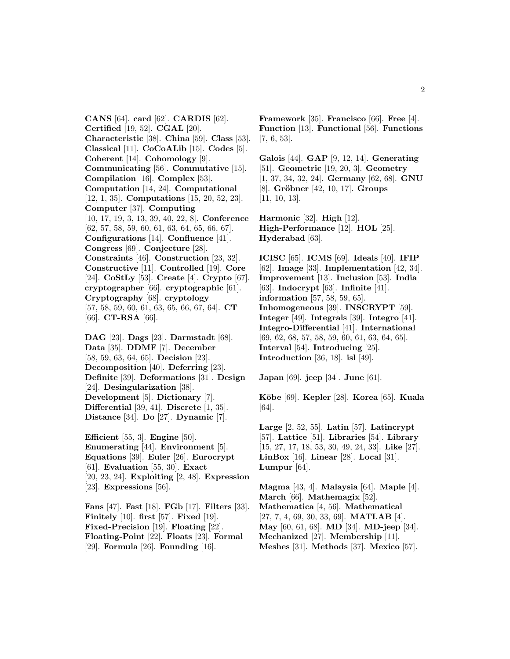**CANS** [64]. **card** [62]. **CARDIS** [62]. **Certified** [19, 52]. **CGAL** [20]. **Characteristic** [38]. **China** [59]. **Class** [53]. **Classical** [11]. **CoCoALib** [15]. **Codes** [5]. **Coherent** [14]. **Cohomology** [9]. **Communicating** [56]. **Commutative** [15]. **Compilation** [16]. **Complex** [53]. **Computation** [14, 24]. **Computational** [12, 1, 35]. **Computations** [15, 20, 52, 23]. **Computer** [37]. **Computing** [10, 17, 19, 3, 13, 39, 40, 22, 8]. **Conference** [62, 57, 58, 59, 60, 61, 63, 64, 65, 66, 67]. **Configurations** [14]. **Confluence** [41]. **Congress** [69]. **Conjecture** [28]. **Constraints** [46]. **Construction** [23, 32]. **Constructive** [11]. **Controlled** [19]. **Core** [24]. **CoStLy** [53]. **Create** [4]. **Crypto** [67]. **cryptographer** [66]. **cryptographic** [61]. **Cryptography** [68]. **cryptology** [57, 58, 59, 60, 61, 63, 65, 66, 67, 64]. **CT** [66]. **CT-RSA** [66].

**DAG** [23]. **Dags** [23]. **Darmstadt** [68]. **Data** [35]. **DDMF** [7]. **December** [58, 59, 63, 64, 65]. **Decision** [23]. **Decomposition** [40]. **Deferring** [23]. **Definite** [39]. **Deformations** [31]. **Design** [24]. **Desingularization** [38]. **Development** [5]. **Dictionary** [7]. **Differential** [39, 41]. **Discrete** [1, 35]. **Distance** [34]. **Do** [27]. **Dynamic** [7].

**Efficient** [55, 3]. **Engine** [50]. **Enumerating** [44]. **Environment** [5]. **Equations** [39]. **Euler** [26]. **Eurocrypt** [61]. **Evaluation** [55, 30]. **Exact** [20, 23, 24]. **Exploiting** [2, 48]. **Expression** [23]. **Expressions** [56].

**Fans** [47]. **Fast** [18]. **FGb** [17]. **Filters** [33]. **Finitely** [10]. **first** [57]. **Fixed** [19]. **Fixed-Precision** [19]. **Floating** [22]. **Floating-Point** [22]. **Floats** [23]. **Formal** [29]. **Formula** [26]. **Founding** [16].

**Framework** [35]. **Francisco** [66]. **Free** [4]. **Function** [13]. **Functional** [56]. **Functions** [7, 6, 53].

**Galois** [44]. **GAP** [9, 12, 14]. **Generating** [51]. **Geometric** [19, 20, 3]. **Geometry** [1, 37, 34, 32, 24]. **Germany** [62, 68]. **GNU** [8]. **Gröbner** [42, 10, 17]. **Groups** [11, 10, 13].

**Harmonic** [32]. **High** [12]. **High-Performance** [12]. **HOL** [25]. **Hyderabad** [63].

**ICISC** [65]. **ICMS** [69]. **Ideals** [40]. **IFIP** [62]. **Image** [33]. **Implementation** [42, 34]. **Improvement** [13]. **Inclusion** [53]. **India** [63]. **Indocrypt** [63]. **Infinite** [41]. **information** [57, 58, 59, 65]. **Inhomogeneous** [39]. **INSCRYPT** [59]. **Integer** [49]. **Integrals** [39]. **Integro** [41]. **Integro-Differential** [41]. **International** [69, 62, 68, 57, 58, 59, 60, 61, 63, 64, 65]. **Interval** [54]. **Introducing** [25]. **Introduction** [36, 18]. **isl** [49].

**Japan** [69]. **jeep** [34]. **June** [61].

**K¯obe** [69]. **Kepler** [28]. **Korea** [65]. **Kuala** [64].

**Large** [2, 52, 55]. **Latin** [57]. **Latincrypt** [57]. **Lattice** [51]. **Libraries** [54]. **Library** [15, 27, 17, 18, 53, 30, 49, 24, 33]. **Like** [27]. **LinBox** [16]. **Linear** [28]. **Local** [31]. **Lumpur** [64].

**Magma** [43, 4]. **Malaysia** [64]. **Maple** [4]. **March** [66]. **Mathemagix** [52]. **Mathematica** [4, 56]. **Mathematical** [27, 7, 4, 69, 30, 33, 69]. **MATLAB** [4]. **May** [60, 61, 68]. **MD** [34]. **MD-jeep** [34]. **Mechanized** [27]. **Membership** [11]. **Meshes** [31]. **Methods** [37]. **Mexico** [57].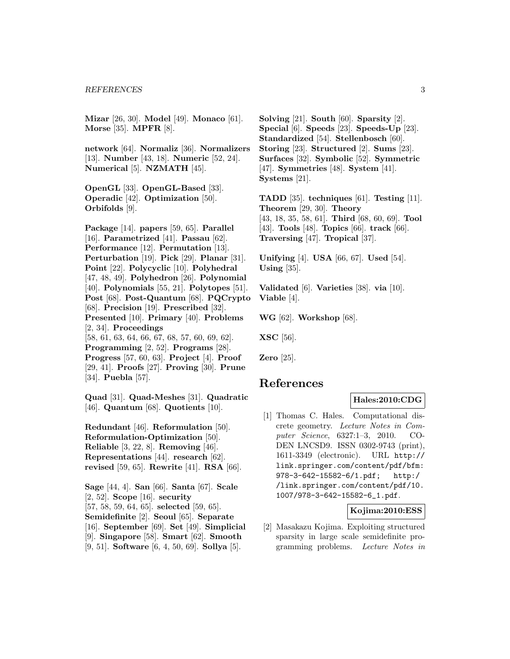**Mizar** [26, 30]. **Model** [49]. **Monaco** [61]. **Morse** [35]. **MPFR** [8].

**network** [64]. **Normaliz** [36]. **Normalizers** [13]. **Number** [43, 18]. **Numeric** [52, 24]. **Numerical** [5]. **NZMATH** [45].

**OpenGL** [33]. **OpenGL-Based** [33]. **Operadic** [42]. **Optimization** [50]. **Orbifolds** [9].

**Package** [14]. **papers** [59, 65]. **Parallel** [16]. **Parametrized** [41]. **Passau** [62]. **Performance** [12]. **Permutation** [13]. **Perturbation** [19]. **Pick** [29]. **Planar** [31]. **Point** [22]. **Polycyclic** [10]. **Polyhedral** [47, 48, 49]. **Polyhedron** [26]. **Polynomial** [40]. **Polynomials** [55, 21]. **Polytopes** [51]. **Post** [68]. **Post-Quantum** [68]. **PQCrypto** [68]. **Precision** [19]. **Prescribed** [32]. **Presented** [10]. **Primary** [40]. **Problems** [2, 34]. **Proceedings** [58, 61, 63, 64, 66, 67, 68, 57, 60, 69, 62]. **Programming** [2, 52]. **Programs** [28]. **Progress** [57, 60, 63]. **Project** [4]. **Proof** [29, 41]. **Proofs** [27]. **Proving** [30]. **Prune** [34]. **Puebla** [57].

**Quad** [31]. **Quad-Meshes** [31]. **Quadratic** [46]. **Quantum** [68]. **Quotients** [10].

**Redundant** [46]. **Reformulation** [50]. **Reformulation-Optimization** [50]. **Reliable** [3, 22, 8]. **Removing** [46]. **Representations** [44]. **research** [62]. **revised** [59, 65]. **Rewrite** [41]. **RSA** [66].

**Sage** [44, 4]. **San** [66]. **Santa** [67]. **Scale** [2, 52]. **Scope** [16]. **security** [57, 58, 59, 64, 65]. **selected** [59, 65]. **Semidefinite** [2]. **Seoul** [65]. **Separate** [16]. **September** [69]. **Set** [49]. **Simplicial** [9]. **Singapore** [58]. **Smart** [62]. **Smooth** [9, 51]. **Software** [6, 4, 50, 69]. **Sollya** [5].

**Solving** [21]. **South** [60]. **Sparsity** [2]. **Special** [6]. **Speeds** [23]. **Speeds-Up** [23]. **Standardized** [54]. **Stellenbosch** [60]. **Storing** [23]. **Structured** [2]. **Sums** [23]. **Surfaces** [32]. **Symbolic** [52]. **Symmetric** [47]. **Symmetries** [48]. **System** [41]. **Systems** [21].

**TADD** [35]. **techniques** [61]. **Testing** [11]. **Theorem** [29, 30]. **Theory** [43, 18, 35, 58, 61]. **Third** [68, 60, 69]. **Tool** [43]. **Tools** [48]. **Topics** [66]. **track** [66]. **Traversing** [47]. **Tropical** [37].

**Unifying** [4]. **USA** [66, 67]. **Used** [54]. **Using** [35].

**Validated** [6]. **Varieties** [38]. **via** [10]. **Viable** [4].

**WG** [62]. **Workshop** [68].

**XSC** [56].

**Zero** [25].

# **References**

### **Hales:2010:CDG**

[1] Thomas C. Hales. Computational discrete geometry. Lecture Notes in Computer Science, 6327:1–3, 2010. CO-DEN LNCSD9. ISSN 0302-9743 (print), 1611-3349 (electronic). URL http:// link.springer.com/content/pdf/bfm: 978-3-642-15582-6/1.pdf; http:/ /link.springer.com/content/pdf/10. 1007/978-3-642-15582-6\_1.pdf.

#### **Kojima:2010:ESS**

[2] Masakazu Kojima. Exploiting structured sparsity in large scale semidefinite programming problems. Lecture Notes in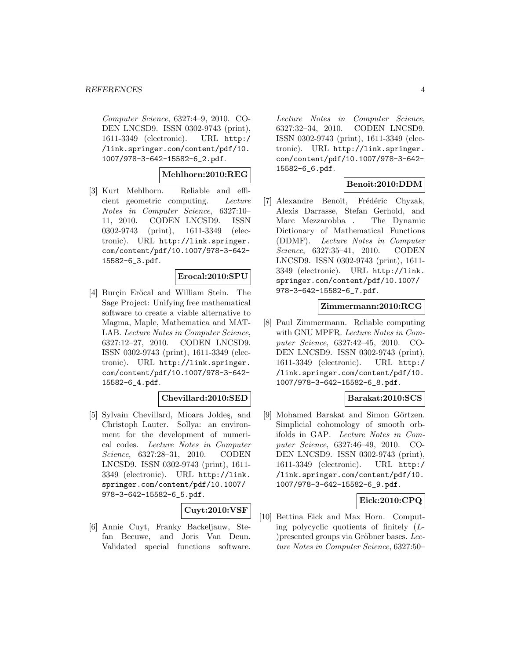Computer Science, 6327:4–9, 2010. CO-DEN LNCSD9. ISSN 0302-9743 (print), 1611-3349 (electronic). URL http:/ /link.springer.com/content/pdf/10. 1007/978-3-642-15582-6\_2.pdf.

# **Mehlhorn:2010:REG**

[3] Kurt Mehlhorn. Reliable and efficient geometric computing. Lecture Notes in Computer Science, 6327:10– 11, 2010. CODEN LNCSD9. ISSN 0302-9743 (print), 1611-3349 (electronic). URL http://link.springer. com/content/pdf/10.1007/978-3-642- 15582-6\_3.pdf.

### **Erocal:2010:SPU**

[4] Burçin Eröcal and William Stein. The Sage Project: Unifying free mathematical software to create a viable alternative to Magma, Maple, Mathematica and MAT-LAB. Lecture Notes in Computer Science, 6327:12–27, 2010. CODEN LNCSD9. ISSN 0302-9743 (print), 1611-3349 (electronic). URL http://link.springer. com/content/pdf/10.1007/978-3-642- 15582-6\_4.pdf.

# **Chevillard:2010:SED**

[5] Sylvain Chevillard, Mioara Joldes, and Christoph Lauter. Sollya: an environment for the development of numerical codes. Lecture Notes in Computer Science, 6327:28–31, 2010. CODEN LNCSD9. ISSN 0302-9743 (print), 1611- 3349 (electronic). URL http://link. springer.com/content/pdf/10.1007/ 978-3-642-15582-6\_5.pdf.

# **Cuyt:2010:VSF**

[6] Annie Cuyt, Franky Backeljauw, Stefan Becuwe, and Joris Van Deun. Validated special functions software.

Lecture Notes in Computer Science, 6327:32–34, 2010. CODEN LNCSD9. ISSN 0302-9743 (print), 1611-3349 (electronic). URL http://link.springer. com/content/pdf/10.1007/978-3-642- 15582-6\_6.pdf.

# **Benoit:2010:DDM**

[7] Alexandre Benoit, Frédéric Chyzak, Alexis Darrasse, Stefan Gerhold, and Marc Mezzarobba . The Dynamic Dictionary of Mathematical Functions (DDMF). Lecture Notes in Computer Science, 6327:35–41, 2010. CODEN LNCSD9. ISSN 0302-9743 (print), 1611- 3349 (electronic). URL http://link. springer.com/content/pdf/10.1007/ 978-3-642-15582-6\_7.pdf.

### **Zimmermann:2010:RCG**

[8] Paul Zimmermann. Reliable computing with GNU MPFR. Lecture Notes in Computer Science, 6327:42–45, 2010. CO-DEN LNCSD9. ISSN 0302-9743 (print), 1611-3349 (electronic). URL http:/ /link.springer.com/content/pdf/10. 1007/978-3-642-15582-6\_8.pdf.

### **Barakat:2010:SCS**

[9] Mohamed Barakat and Simon Görtzen. Simplicial cohomology of smooth orbifolds in GAP. Lecture Notes in Computer Science, 6327:46–49, 2010. CO-DEN LNCSD9. ISSN 0302-9743 (print), 1611-3349 (electronic). URL http:/ /link.springer.com/content/pdf/10. 1007/978-3-642-15582-6\_9.pdf.

### **Eick:2010:CPQ**

[10] Bettina Eick and Max Horn. Computing polycyclic quotients of finitely (L-  $)$ presented groups via Gröbner bases. Lecture Notes in Computer Science, 6327:50–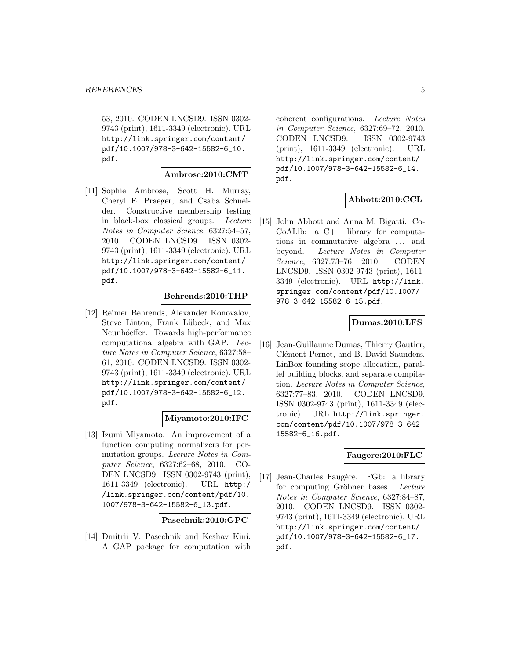53, 2010. CODEN LNCSD9. ISSN 0302- 9743 (print), 1611-3349 (electronic). URL http://link.springer.com/content/ pdf/10.1007/978-3-642-15582-6\_10. pdf.

# **Ambrose:2010:CMT**

[11] Sophie Ambrose, Scott H. Murray, Cheryl E. Praeger, and Csaba Schneider. Constructive membership testing in black-box classical groups. Lecture Notes in Computer Science, 6327:54–57, 2010. CODEN LNCSD9. ISSN 0302- 9743 (print), 1611-3349 (electronic). URL http://link.springer.com/content/ pdf/10.1007/978-3-642-15582-6\_11. pdf.

### **Behrends:2010:THP**

[12] Reimer Behrends, Alexander Konovalov, Steve Linton, Frank Lübeck, and Max Neunhöeffer. Towards high-performance computational algebra with GAP. Lecture Notes in Computer Science, 6327:58– 61, 2010. CODEN LNCSD9. ISSN 0302- 9743 (print), 1611-3349 (electronic). URL http://link.springer.com/content/ pdf/10.1007/978-3-642-15582-6\_12. pdf.

### **Miyamoto:2010:IFC**

[13] Izumi Miyamoto. An improvement of a function computing normalizers for permutation groups. Lecture Notes in Computer Science, 6327:62–68, 2010. CO-DEN LNCSD9. ISSN 0302-9743 (print), 1611-3349 (electronic). URL http:/ /link.springer.com/content/pdf/10. 1007/978-3-642-15582-6\_13.pdf.

**Pasechnik:2010:GPC**

[14] Dmitrii V. Pasechnik and Keshav Kini. A GAP package for computation with coherent configurations. Lecture Notes in Computer Science, 6327:69–72, 2010. CODEN LNCSD9. ISSN 0302-9743 (print), 1611-3349 (electronic). URL http://link.springer.com/content/ pdf/10.1007/978-3-642-15582-6\_14. pdf.

# **Abbott:2010:CCL**

[15] John Abbott and Anna M. Bigatti. Co-CoALib: a C++ library for computations in commutative algebra ... and beyond. Lecture Notes in Computer Science, 6327:73–76, 2010. CODEN LNCSD9. ISSN 0302-9743 (print), 1611- 3349 (electronic). URL http://link. springer.com/content/pdf/10.1007/ 978-3-642-15582-6\_15.pdf.

#### **Dumas:2010:LFS**

[16] Jean-Guillaume Dumas, Thierry Gautier, Clément Pernet, and B. David Saunders. LinBox founding scope allocation, parallel building blocks, and separate compilation. Lecture Notes in Computer Science, 6327:77–83, 2010. CODEN LNCSD9. ISSN 0302-9743 (print), 1611-3349 (electronic). URL http://link.springer. com/content/pdf/10.1007/978-3-642- 15582-6\_16.pdf.

# **Faugere:2010:FLC**

[17] Jean-Charles Faugère. FGb: a library for computing Gröbner bases. Lecture Notes in Computer Science, 6327:84–87, 2010. CODEN LNCSD9. ISSN 0302- 9743 (print), 1611-3349 (electronic). URL http://link.springer.com/content/ pdf/10.1007/978-3-642-15582-6\_17. pdf.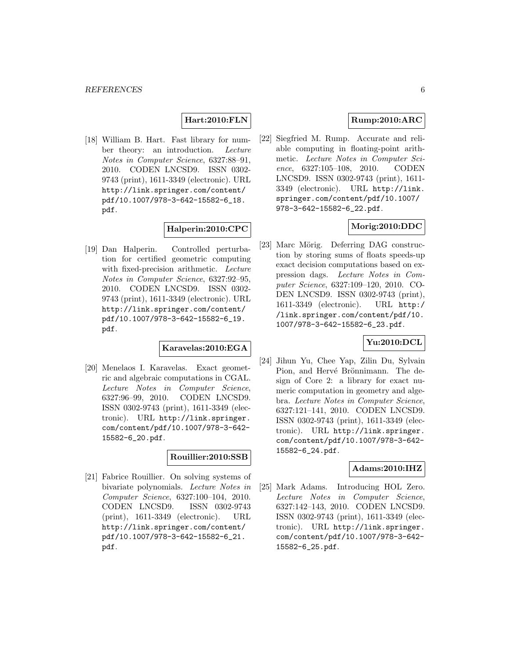# **Hart:2010:FLN**

[18] William B. Hart. Fast library for number theory: an introduction. Lecture Notes in Computer Science, 6327:88–91, 2010. CODEN LNCSD9. ISSN 0302- 9743 (print), 1611-3349 (electronic). URL http://link.springer.com/content/ pdf/10.1007/978-3-642-15582-6\_18. pdf.

### **Halperin:2010:CPC**

[19] Dan Halperin. Controlled perturbation for certified geometric computing with fixed-precision arithmetic. Lecture Notes in Computer Science, 6327:92–95, 2010. CODEN LNCSD9. ISSN 0302- 9743 (print), 1611-3349 (electronic). URL http://link.springer.com/content/ pdf/10.1007/978-3-642-15582-6\_19. pdf.

### **Karavelas:2010:EGA**

[20] Menelaos I. Karavelas. Exact geometric and algebraic computations in CGAL. Lecture Notes in Computer Science, 6327:96–99, 2010. CODEN LNCSD9. ISSN 0302-9743 (print), 1611-3349 (electronic). URL http://link.springer. com/content/pdf/10.1007/978-3-642- 15582-6\_20.pdf.

# **Rouillier:2010:SSB**

[21] Fabrice Rouillier. On solving systems of bivariate polynomials. Lecture Notes in Computer Science, 6327:100–104, 2010. CODEN LNCSD9. ISSN 0302-9743 (print), 1611-3349 (electronic). URL http://link.springer.com/content/ pdf/10.1007/978-3-642-15582-6\_21. pdf.

# **Rump:2010:ARC**

[22] Siegfried M. Rump. Accurate and reliable computing in floating-point arithmetic. Lecture Notes in Computer Science, 6327:105–108, 2010. CODEN LNCSD9. ISSN 0302-9743 (print), 1611- 3349 (electronic). URL http://link. springer.com/content/pdf/10.1007/ 978-3-642-15582-6\_22.pdf.

### **Morig:2010:DDC**

[23] Marc Mörig. Deferring DAG construction by storing sums of floats speeds-up exact decision computations based on expression dags. Lecture Notes in Computer Science, 6327:109–120, 2010. CO-DEN LNCSD9. ISSN 0302-9743 (print), 1611-3349 (electronic). URL http:/ /link.springer.com/content/pdf/10. 1007/978-3-642-15582-6\_23.pdf.

# **Yu:2010:DCL**

[24] Jihun Yu, Chee Yap, Zilin Du, Sylvain Pion, and Hervé Brönnimann. The design of Core 2: a library for exact numeric computation in geometry and algebra. Lecture Notes in Computer Science, 6327:121–141, 2010. CODEN LNCSD9. ISSN 0302-9743 (print), 1611-3349 (electronic). URL http://link.springer. com/content/pdf/10.1007/978-3-642- 15582-6\_24.pdf.

#### **Adams:2010:IHZ**

[25] Mark Adams. Introducing HOL Zero. Lecture Notes in Computer Science, 6327:142–143, 2010. CODEN LNCSD9. ISSN 0302-9743 (print), 1611-3349 (electronic). URL http://link.springer. com/content/pdf/10.1007/978-3-642- 15582-6\_25.pdf.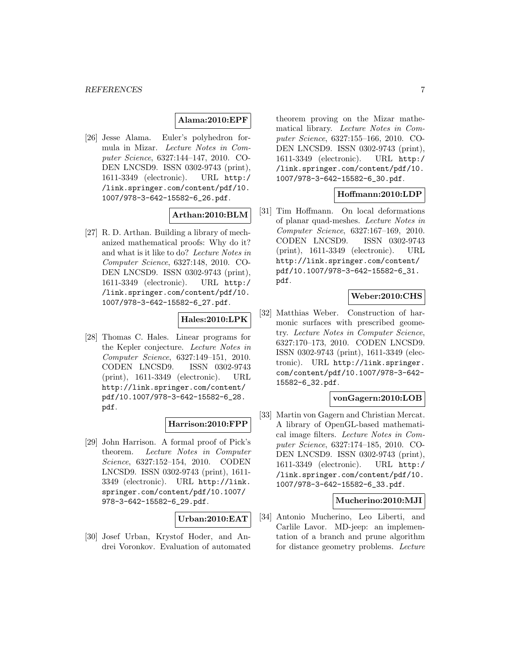# **Alama:2010:EPF**

[26] Jesse Alama. Euler's polyhedron formula in Mizar. Lecture Notes in Computer Science, 6327:144–147, 2010. CO-DEN LNCSD9. ISSN 0302-9743 (print), 1611-3349 (electronic). URL http:/ /link.springer.com/content/pdf/10. 1007/978-3-642-15582-6\_26.pdf.

### **Arthan:2010:BLM**

[27] R. D. Arthan. Building a library of mechanized mathematical proofs: Why do it? and what is it like to do? Lecture Notes in Computer Science, 6327:148, 2010. CO-DEN LNCSD9. ISSN 0302-9743 (print), 1611-3349 (electronic). URL http:/ /link.springer.com/content/pdf/10. 1007/978-3-642-15582-6\_27.pdf.

### **Hales:2010:LPK**

[28] Thomas C. Hales. Linear programs for the Kepler conjecture. Lecture Notes in Computer Science, 6327:149–151, 2010. CODEN LNCSD9. ISSN 0302-9743 (print), 1611-3349 (electronic). URL http://link.springer.com/content/ pdf/10.1007/978-3-642-15582-6\_28. pdf.

### **Harrison:2010:FPP**

[29] John Harrison. A formal proof of Pick's theorem. Lecture Notes in Computer Science, 6327:152–154, 2010. CODEN LNCSD9. ISSN 0302-9743 (print), 1611- 3349 (electronic). URL http://link. springer.com/content/pdf/10.1007/ 978-3-642-15582-6\_29.pdf.

### **Urban:2010:EAT**

[30] Josef Urban, Krystof Hoder, and Andrei Voronkov. Evaluation of automated

theorem proving on the Mizar mathematical library. Lecture Notes in Computer Science, 6327:155–166, 2010. CO-DEN LNCSD9. ISSN 0302-9743 (print), 1611-3349 (electronic). URL http:/ /link.springer.com/content/pdf/10. 1007/978-3-642-15582-6\_30.pdf.

# **Hoffmann:2010:LDP**

[31] Tim Hoffmann. On local deformations of planar quad-meshes. Lecture Notes in Computer Science, 6327:167–169, 2010. CODEN LNCSD9. ISSN 0302-9743 (print), 1611-3349 (electronic). URL http://link.springer.com/content/ pdf/10.1007/978-3-642-15582-6\_31. pdf.

# **Weber:2010:CHS**

[32] Matthias Weber. Construction of harmonic surfaces with prescribed geometry. Lecture Notes in Computer Science, 6327:170–173, 2010. CODEN LNCSD9. ISSN 0302-9743 (print), 1611-3349 (electronic). URL http://link.springer. com/content/pdf/10.1007/978-3-642- 15582-6\_32.pdf.

# **vonGagern:2010:LOB**

[33] Martin von Gagern and Christian Mercat. A library of OpenGL-based mathematical image filters. Lecture Notes in Computer Science, 6327:174–185, 2010. CO-DEN LNCSD9. ISSN 0302-9743 (print), 1611-3349 (electronic). URL http:/ /link.springer.com/content/pdf/10. 1007/978-3-642-15582-6\_33.pdf.

#### **Mucherino:2010:MJI**

[34] Antonio Mucherino, Leo Liberti, and Carlile Lavor. MD-jeep: an implementation of a branch and prune algorithm for distance geometry problems. Lecture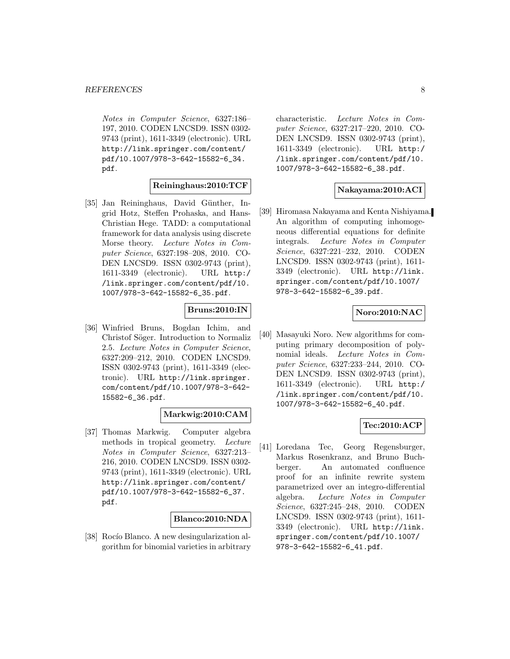Notes in Computer Science, 6327:186– 197, 2010. CODEN LNCSD9. ISSN 0302- 9743 (print), 1611-3349 (electronic). URL http://link.springer.com/content/ pdf/10.1007/978-3-642-15582-6\_34. pdf.

### **Reininghaus:2010:TCF**

[35] Jan Reininghaus, David Günther, Ingrid Hotz, Steffen Prohaska, and Hans-Christian Hege. TADD: a computational framework for data analysis using discrete Morse theory. Lecture Notes in Computer Science, 6327:198–208, 2010. CO-DEN LNCSD9. ISSN 0302-9743 (print), 1611-3349 (electronic). URL http:/ /link.springer.com/content/pdf/10. 1007/978-3-642-15582-6\_35.pdf.

# **Bruns:2010:IN**

[36] Winfried Bruns, Bogdan Ichim, and Christof Söger. Introduction to Normaliz 2.5. Lecture Notes in Computer Science, 6327:209–212, 2010. CODEN LNCSD9. ISSN 0302-9743 (print), 1611-3349 (electronic). URL http://link.springer. com/content/pdf/10.1007/978-3-642- 15582-6\_36.pdf.

### **Markwig:2010:CAM**

[37] Thomas Markwig. Computer algebra methods in tropical geometry. Lecture Notes in Computer Science, 6327:213– 216, 2010. CODEN LNCSD9. ISSN 0302- 9743 (print), 1611-3349 (electronic). URL http://link.springer.com/content/ pdf/10.1007/978-3-642-15582-6\_37. pdf.

#### **Blanco:2010:NDA**

[38] Rocío Blanco. A new desingularization algorithm for binomial varieties in arbitrary characteristic. Lecture Notes in Computer Science, 6327:217–220, 2010. CO-DEN LNCSD9. ISSN 0302-9743 (print), 1611-3349 (electronic). URL http:/ /link.springer.com/content/pdf/10. 1007/978-3-642-15582-6\_38.pdf.

#### **Nakayama:2010:ACI**

[39] Hiromasa Nakayama and Kenta Nishiyama. An algorithm of computing inhomogeneous differential equations for definite integrals. Lecture Notes in Computer Science, 6327:221–232, 2010. CODEN LNCSD9. ISSN 0302-9743 (print), 1611- 3349 (electronic). URL http://link. springer.com/content/pdf/10.1007/ 978-3-642-15582-6\_39.pdf.

# **Noro:2010:NAC**

[40] Masayuki Noro. New algorithms for computing primary decomposition of polynomial ideals. Lecture Notes in Computer Science, 6327:233–244, 2010. CO-DEN LNCSD9. ISSN 0302-9743 (print), 1611-3349 (electronic). URL http:/ /link.springer.com/content/pdf/10. 1007/978-3-642-15582-6\_40.pdf.

# **Tec:2010:ACP**

[41] Loredana Tec, Georg Regensburger, Markus Rosenkranz, and Bruno Buchberger. An automated confluence proof for an infinite rewrite system parametrized over an integro-differential algebra. Lecture Notes in Computer Science, 6327:245–248, 2010. CODEN LNCSD9. ISSN 0302-9743 (print), 1611- 3349 (electronic). URL http://link. springer.com/content/pdf/10.1007/ 978-3-642-15582-6\_41.pdf.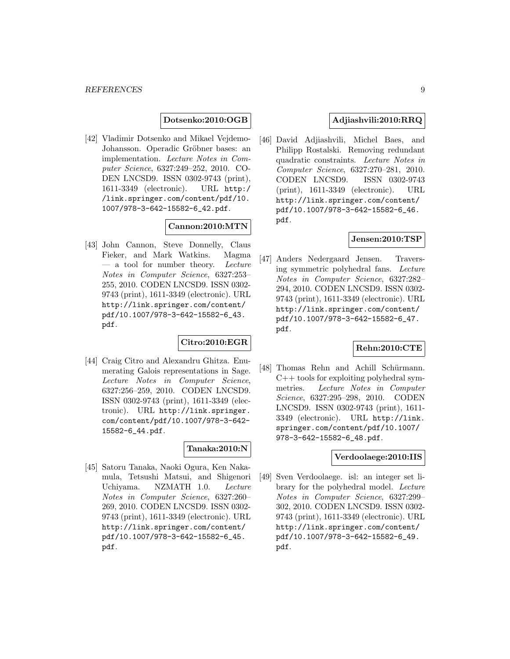### **Dotsenko:2010:OGB**

[42] Vladimir Dotsenko and Mikael Vejdemo-Johansson. Operadic Gröbner bases: an implementation. Lecture Notes in Computer Science, 6327:249–252, 2010. CO-DEN LNCSD9. ISSN 0302-9743 (print), 1611-3349 (electronic). URL http:/ /link.springer.com/content/pdf/10. 1007/978-3-642-15582-6\_42.pdf.

# **Cannon:2010:MTN**

[43] John Cannon, Steve Donnelly, Claus Fieker, and Mark Watkins. Magma — a tool for number theory. Lecture Notes in Computer Science, 6327:253– 255, 2010. CODEN LNCSD9. ISSN 0302- 9743 (print), 1611-3349 (electronic). URL http://link.springer.com/content/ pdf/10.1007/978-3-642-15582-6\_43. pdf.

# **Citro:2010:EGR**

[44] Craig Citro and Alexandru Ghitza. Enumerating Galois representations in Sage. Lecture Notes in Computer Science, 6327:256–259, 2010. CODEN LNCSD9. ISSN 0302-9743 (print), 1611-3349 (electronic). URL http://link.springer. com/content/pdf/10.1007/978-3-642- 15582-6\_44.pdf.

### **Tanaka:2010:N**

[45] Satoru Tanaka, Naoki Ogura, Ken Nakamula, Tetsushi Matsui, and Shigenori Uchiyama. NZMATH 1.0. Lecture Notes in Computer Science, 6327:260– 269, 2010. CODEN LNCSD9. ISSN 0302- 9743 (print), 1611-3349 (electronic). URL http://link.springer.com/content/ pdf/10.1007/978-3-642-15582-6\_45. pdf.

### **Adjiashvili:2010:RRQ**

[46] David Adjiashvili, Michel Baes, and Philipp Rostalski. Removing redundant quadratic constraints. Lecture Notes in Computer Science, 6327:270–281, 2010. CODEN LNCSD9. ISSN 0302-9743 (print), 1611-3349 (electronic). URL http://link.springer.com/content/ pdf/10.1007/978-3-642-15582-6\_46. pdf.

#### **Jensen:2010:TSP**

[47] Anders Nedergaard Jensen. Traversing symmetric polyhedral fans. Lecture Notes in Computer Science, 6327:282– 294, 2010. CODEN LNCSD9. ISSN 0302- 9743 (print), 1611-3349 (electronic). URL http://link.springer.com/content/ pdf/10.1007/978-3-642-15582-6\_47. pdf.

### **Rehn:2010:CTE**

[48] Thomas Rehn and Achill Schürmann.  $C++$  tools for exploiting polyhedral symmetries. Lecture Notes in Computer Science, 6327:295–298, 2010. CODEN LNCSD9. ISSN 0302-9743 (print), 1611- 3349 (electronic). URL http://link. springer.com/content/pdf/10.1007/ 978-3-642-15582-6\_48.pdf.

#### **Verdoolaege:2010:IIS**

[49] Sven Verdoolaege. isl: an integer set library for the polyhedral model. Lecture Notes in Computer Science, 6327:299– 302, 2010. CODEN LNCSD9. ISSN 0302- 9743 (print), 1611-3349 (electronic). URL http://link.springer.com/content/ pdf/10.1007/978-3-642-15582-6\_49. pdf.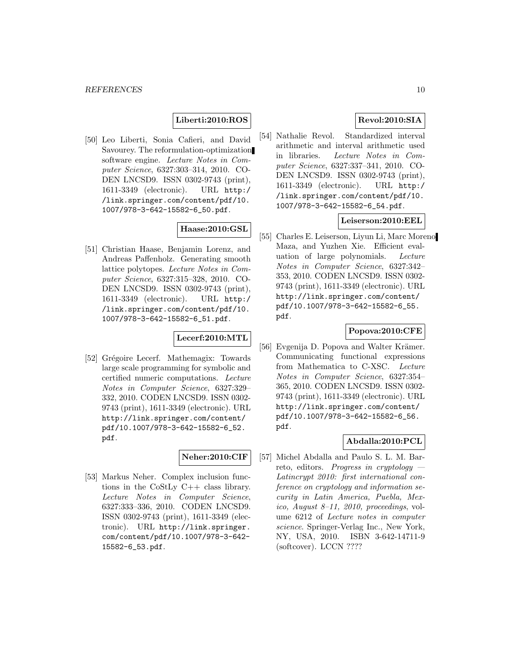### **Liberti:2010:ROS**

[50] Leo Liberti, Sonia Cafieri, and David Savourey. The reformulation-optimization software engine. Lecture Notes in Computer Science, 6327:303–314, 2010. CO-DEN LNCSD9. ISSN 0302-9743 (print), 1611-3349 (electronic). URL http:/ /link.springer.com/content/pdf/10. 1007/978-3-642-15582-6\_50.pdf.

# **Haase:2010:GSL**

[51] Christian Haase, Benjamin Lorenz, and Andreas Paffenholz. Generating smooth lattice polytopes. Lecture Notes in Computer Science, 6327:315–328, 2010. CO-DEN LNCSD9. ISSN 0302-9743 (print), 1611-3349 (electronic). URL http:/ /link.springer.com/content/pdf/10. 1007/978-3-642-15582-6\_51.pdf.

### **Lecerf:2010:MTL**

[52] Grégoire Lecerf. Mathemagix: Towards large scale programming for symbolic and certified numeric computations. Lecture Notes in Computer Science, 6327:329– 332, 2010. CODEN LNCSD9. ISSN 0302- 9743 (print), 1611-3349 (electronic). URL http://link.springer.com/content/ pdf/10.1007/978-3-642-15582-6\_52. pdf.

# **Neher:2010:CIF**

[53] Markus Neher. Complex inclusion functions in the CoStLy C++ class library. Lecture Notes in Computer Science, 6327:333–336, 2010. CODEN LNCSD9. ISSN 0302-9743 (print), 1611-3349 (electronic). URL http://link.springer. com/content/pdf/10.1007/978-3-642- 15582-6\_53.pdf.

### **Revol:2010:SIA**

[54] Nathalie Revol. Standardized interval arithmetic and interval arithmetic used in libraries. Lecture Notes in Computer Science, 6327:337–341, 2010. CO-DEN LNCSD9. ISSN 0302-9743 (print), 1611-3349 (electronic). URL http:/ /link.springer.com/content/pdf/10. 1007/978-3-642-15582-6\_54.pdf.

#### **Leiserson:2010:EEL**

[55] Charles E. Leiserson, Liyun Li, Marc Moreno Maza, and Yuzhen Xie. Efficient evaluation of large polynomials. Lecture Notes in Computer Science, 6327:342– 353, 2010. CODEN LNCSD9. ISSN 0302- 9743 (print), 1611-3349 (electronic). URL http://link.springer.com/content/ pdf/10.1007/978-3-642-15582-6\_55. pdf.

### **Popova:2010:CFE**

[56] Evgenija D. Popova and Walter Krämer. Communicating functional expressions from Mathematica to C-XSC. Lecture Notes in Computer Science, 6327:354– 365, 2010. CODEN LNCSD9. ISSN 0302- 9743 (print), 1611-3349 (electronic). URL http://link.springer.com/content/ pdf/10.1007/978-3-642-15582-6\_56. pdf.

### **Abdalla:2010:PCL**

[57] Michel Abdalla and Paulo S. L. M. Barreto, editors. Progress in cryptology  $-$ Latincrypt 2010: first international conference on cryptology and information security in Latin America, Puebla, Mexico, August 8–11, 2010, proceedings, volume 6212 of Lecture notes in computer science. Springer-Verlag Inc., New York, NY, USA, 2010. ISBN 3-642-14711-9 (softcover). LCCN ????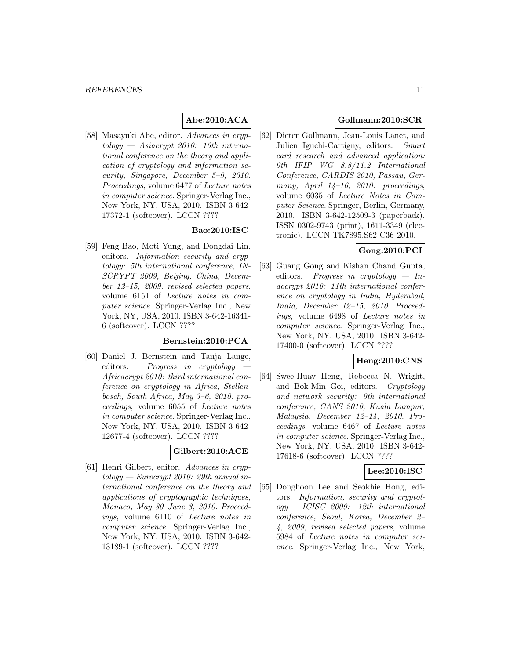# **Abe:2010:ACA**

[58] Masayuki Abe, editor. Advances in cryptology — Asiacrypt 2010: 16th international conference on the theory and application of cryptology and information security, Singapore, December 5–9, 2010. Proceedings, volume 6477 of Lecture notes in computer science. Springer-Verlag Inc., New York, NY, USA, 2010. ISBN 3-642- 17372-1 (softcover). LCCN ????

# **Bao:2010:ISC**

[59] Feng Bao, Moti Yung, and Dongdai Lin, editors. Information security and cryptology: 5th international conference, IN-SCRYPT 2009, Beijing, China, December 12–15, 2009. revised selected papers, volume 6151 of Lecture notes in computer science. Springer-Verlag Inc., New York, NY, USA, 2010. ISBN 3-642-16341- 6 (softcover). LCCN ????

# **Bernstein:2010:PCA**

[60] Daniel J. Bernstein and Tanja Lange, editors. Progress in cryptology Africacrypt 2010: third international conference on cryptology in Africa, Stellenbosch, South Africa, May 3–6, 2010. proceedings, volume 6055 of Lecture notes in computer science. Springer-Verlag Inc., New York, NY, USA, 2010. ISBN 3-642- 12677-4 (softcover). LCCN ????

# **Gilbert:2010:ACE**

[61] Henri Gilbert, editor. Advances in cryp $tology - \textit{European 2010: 29th annual in}$ ternational conference on the theory and applications of cryptographic techniques, Monaco, May 30–June 3, 2010. Proceedings, volume 6110 of Lecture notes in computer science. Springer-Verlag Inc., New York, NY, USA, 2010. ISBN 3-642- 13189-1 (softcover). LCCN ????

# **Gollmann:2010:SCR**

[62] Dieter Gollmann, Jean-Louis Lanet, and Julien Iguchi-Cartigny, editors. Smart card research and advanced application: 9th IFIP WG 8.8/11.2 International Conference, CARDIS 2010, Passau, Germany, April  $14-16$ , 2010: proceedings, volume 6035 of Lecture Notes in Computer Science. Springer, Berlin, Germany, 2010. ISBN 3-642-12509-3 (paperback). ISSN 0302-9743 (print), 1611-3349 (electronic). LCCN TK7895.S62 C36 2010.

# **Gong:2010:PCI**

[63] Guang Gong and Kishan Chand Gupta, editors. Progress in cryptology — Indocrypt 2010: 11th international conference on cryptology in India, Hyderabad, India, December 12–15, 2010. Proceedings, volume 6498 of Lecture notes in computer science. Springer-Verlag Inc., New York, NY, USA, 2010. ISBN 3-642- 17400-0 (softcover). LCCN ????

# **Heng:2010:CNS**

[64] Swee-Huay Heng, Rebecca N. Wright, and Bok-Min Goi, editors. Cryptology and network security: 9th international conference, CANS 2010, Kuala Lumpur, Malaysia, December 12–14, 2010. Proceedings, volume 6467 of Lecture notes in computer science. Springer-Verlag Inc., New York, NY, USA, 2010. ISBN 3-642- 17618-6 (softcover). LCCN ????

### **Lee:2010:ISC**

[65] Donghoon Lee and Seokhie Hong, editors. Information, security and cryptology – ICISC 2009: 12th international conference, Seoul, Korea, December 2– 4, 2009, revised selected papers, volume 5984 of Lecture notes in computer science. Springer-Verlag Inc., New York,